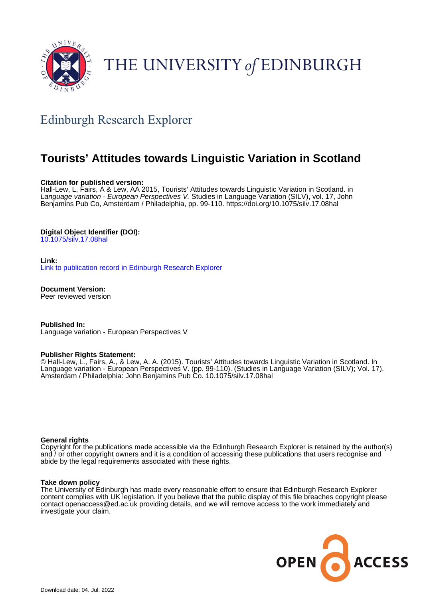

# THE UNIVERSITY of EDINBURGH

# Edinburgh Research Explorer

# **Tourists' Attitudes towards Linguistic Variation in Scotland**

# **Citation for published version:**

Hall-Lew, L, Fairs, A & Lew, AA 2015, Tourists' Attitudes towards Linguistic Variation in Scotland. in Language variation - European Perspectives V. Studies in Language Variation (SILV), vol. 17, John Benjamins Pub Co, Amsterdam / Philadelphia, pp. 99-110.<https://doi.org/10.1075/silv.17.08hal>

# **Digital Object Identifier (DOI):**

[10.1075/silv.17.08hal](https://doi.org/10.1075/silv.17.08hal)

#### **Link:**

[Link to publication record in Edinburgh Research Explorer](https://www.research.ed.ac.uk/en/publications/2e3f71ce-7b85-4d94-a576-852dc7d19724)

**Document Version:** Peer reviewed version

**Published In:** Language variation - European Perspectives V

#### **Publisher Rights Statement:**

© Hall-Lew, L., Fairs, A., & Lew, A. A. (2015). Tourists' Attitudes towards Linguistic Variation in Scotland. In Language variation - European Perspectives V. (pp. 99-110). (Studies in Language Variation (SILV); Vol. 17). Amsterdam / Philadelphia: John Benjamins Pub Co. 10.1075/silv.17.08hal

#### **General rights**

Copyright for the publications made accessible via the Edinburgh Research Explorer is retained by the author(s) and / or other copyright owners and it is a condition of accessing these publications that users recognise and abide by the legal requirements associated with these rights.

#### **Take down policy**

The University of Edinburgh has made every reasonable effort to ensure that Edinburgh Research Explorer content complies with UK legislation. If you believe that the public display of this file breaches copyright please contact openaccess@ed.ac.uk providing details, and we will remove access to the work immediately and investigate your claim.

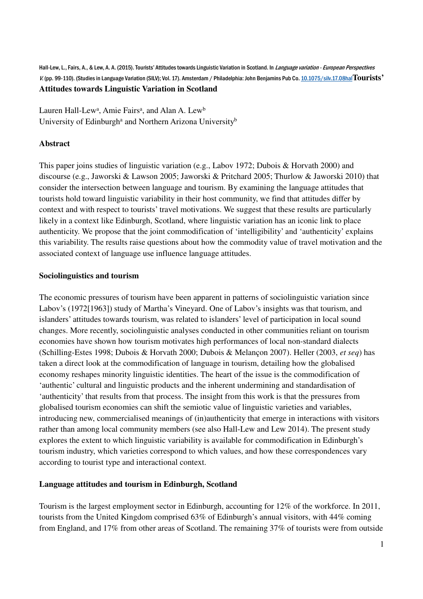Hall-Lew, L., Fairs, A., & Lew, A. A. (2015). Tourists' Attitudes towards Linguistic Variation in Scotland. In Language variation - European Perspectives V. (pp. 99-110). (Studies in Language Variation (SILV); Vol. 17). Amsterdam / Philadelphia: John Benjamins Pub Co. 10.1075/silv.17.08hal**Tourists' Attitudes towards Linguistic Variation in Scotland**

Lauren Hall-Lew<sup>a</sup>, Amie Fairs<sup>a</sup>, and Alan A. Lew<sup>b</sup> University of Edinburgh<sup>a</sup> and Northern Arizona University<sup>b</sup>

# **Abstract**

This paper joins studies of linguistic variation (e.g., Labov 1972; Dubois & Horvath 2000) and discourse (e.g., Jaworski & Lawson 2005; Jaworski & Pritchard 2005; Thurlow & Jaworski 2010) that consider the intersection between language and tourism. By examining the language attitudes that tourists hold toward linguistic variability in their host community, we find that attitudes differ by context and with respect to tourists' travel motivations. We suggest that these results are particularly likely in a context like Edinburgh, Scotland, where linguistic variation has an iconic link to place authenticity. We propose that the joint commodification of 'intelligibility' and 'authenticity' explains this variability. The results raise questions about how the commodity value of travel motivation and the associated context of language use influence language attitudes.

# **Sociolinguistics and tourism**

The economic pressures of tourism have been apparent in patterns of sociolinguistic variation since Labov's (1972[1963]) study of Martha's Vineyard. One of Labov's insights was that tourism, and islanders' attitudes towards tourism, was related to islanders' level of participation in local sound changes. More recently, sociolinguistic analyses conducted in other communities reliant on tourism economies have shown how tourism motivates high performances of local non-standard dialects (Schilling-Estes 1998; Dubois & Horvath 2000; Dubois & Melançon 2007). Heller (2003, *et seq*) has taken a direct look at the commodification of language in tourism, detailing how the globalised economy reshapes minority linguistic identities. The heart of the issue is the commodification of 'authentic' cultural and linguistic products and the inherent undermining and standardisation of 'authenticity' that results from that process. The insight from this work is that the pressures from globalised tourism economies can shift the semiotic value of linguistic varieties and variables, introducing new, commercialised meanings of (in)authenticity that emerge in interactions with visitors rather than among local community members (see also Hall-Lew and Lew 2014). The present study explores the extent to which linguistic variability is available for commodification in Edinburgh's tourism industry, which varieties correspond to which values, and how these correspondences vary according to tourist type and interactional context.

# **Language attitudes and tourism in Edinburgh, Scotland**

Tourism is the largest employment sector in Edinburgh, accounting for 12% of the workforce. In 2011, tourists from the United Kingdom comprised 63% of Edinburgh's annual visitors, with 44% coming from England, and 17% from other areas of Scotland. The remaining 37% of tourists were from outside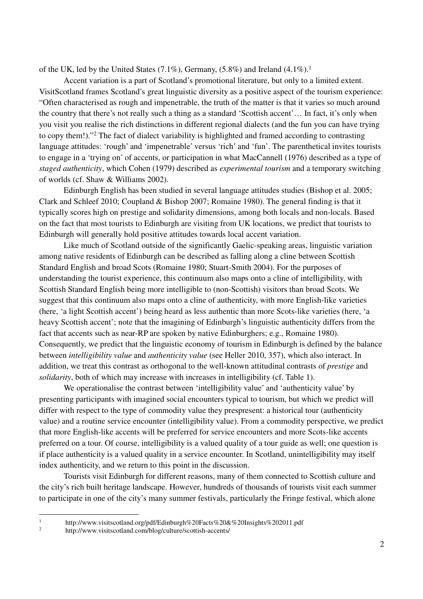of the UK, led by the United States  $(7.1\%)$ , Germany,  $(5.8\%)$  and Ireland  $(4.1\%)$ .<sup>1</sup>

Accent variation is a part of Scotland's promotional literature, but only to a limited extent. VisitScotland frames Scotland's great linguistic diversity as a positive aspect of the tourism experience: "Often characterised as rough and impenetrable, the truth of the matter is that it varies so much around the country that there's not really such a thing as a standard 'Scottish accent'… In fact, it's only when you visit you realise the rich distinctions in different regional dialects (and the fun you can have trying to copy them!)."<sup>2</sup> The fact of dialect variability is highlighted and framed according to contrasting language attitudes: 'rough' and 'impenetrable' versus 'rich' and 'fun'. The parenthetical invites tourists to engage in a 'trying on' of accents, or participation in what MacCannell (1976) described as a type of *staged authenticity*, which Cohen (1979) described as *experimental tourism* and a temporary switching of worlds (cf. Shaw & Williams 2002).

Edinburgh English has been studied in several language attitudes studies (Bishop et al. 2005; Clark and Schleef 2010; Coupland & Bishop 2007; Romaine 1980). The general finding is that it typically scores high on prestige and solidarity dimensions, among both locals and non-locals. Based on the fact that most tourists to Edinburgh are visiting from UK locations, we predict that tourists to Edinburgh will generally hold positive attitudes towards local accent variation.

Like much of Scotland outside of the significantly Gaelic-speaking areas, linguistic variation among native residents of Edinburgh can be described as falling along a cline between Scottish Standard English and broad Scots (Romaine 1980; Stuart-Smith 2004). For the purposes of understanding the tourist experience, this continuum also maps onto a cline of intelligibility, with Scottish Standard English being more intelligible to (non-Scottish) visitors than broad Scots. We suggest that this continuum also maps onto a cline of authenticity, with more English-like varieties (here, 'a light Scottish accent') being heard as less authentic than more Scots-like varieties (here, 'a heavy Scottish accent'; note that the imagining of Edinburgh's linguistic authenticity differs from the fact that accents such as near-RP are spoken by native Edinburghers; e.g., Romaine 1980). Consequently, we predict that the linguistic economy of tourism in Edinburgh is defined by the balance between *intelligibility value* and *authenticity value* (see Heller 2010, 357), which also interact. In addition, we treat this contrast as orthogonal to the well-known attitudinal contrasts of *prestige* and *solidarity*, both of which may increase with increases in intelligibility (cf. Table 1).

We operationalise the contrast between 'intelligibility value' and 'authenticity value' by presenting participants with imagined social encounters typical to tourism, but which we predict will differ with respect to the type of commodity value they prespresent: a historical tour (authenticity value) and a routine service encounter (intelligibility value). From a commodity perspective, we predict that more English-like accents will be preferred for service encounters and more Scots-like accents preferred on a tour. Of course, intelligibility is a valued quality of a tour guide as well; one question is if place authenticity is a valued quality in a service encounter. In Scotland, unintelligibility may itself index authenticity, and we return to this point in the discussion.

Tourists visit Edinburgh for different reasons, many of them connected to Scottish culture and the city's rich built heritage landscape. However, hundreds of thousands of tourists visit each summer to participate in one of the city's many summer festivals, particularly the Fringe festival, which alone

 $\frac{1}{1}$ 

http://www.visitscotland.org/pdf/Edinburgh%20Facts%20&%20Insights%202011.pdf

 $\overline{2}$ http://www.visitscotland.com/blog/culture/scottish-accents/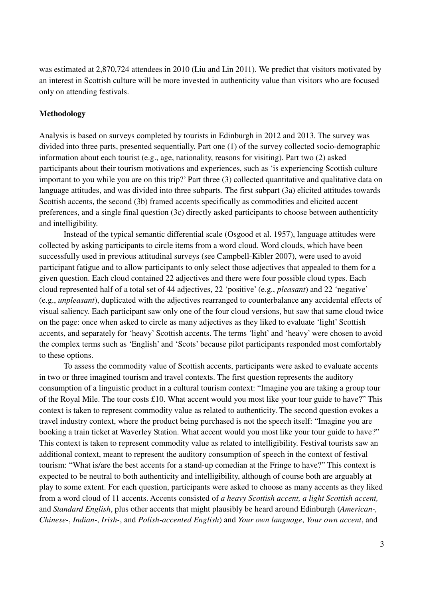was estimated at 2,870,724 attendees in 2010 (Liu and Lin 2011). We predict that visitors motivated by an interest in Scottish culture will be more invested in authenticity value than visitors who are focused only on attending festivals.

# **Methodology**

Analysis is based on surveys completed by tourists in Edinburgh in 2012 and 2013. The survey was divided into three parts, presented sequentially. Part one (1) of the survey collected socio-demographic information about each tourist (e.g., age, nationality, reasons for visiting). Part two (2) asked participants about their tourism motivations and experiences, such as 'is experiencing Scottish culture important to you while you are on this trip?' Part three (3) collected quantitative and qualitative data on language attitudes, and was divided into three subparts. The first subpart (3a) elicited attitudes towards Scottish accents, the second (3b) framed accents specifically as commodities and elicited accent preferences, and a single final question (3c) directly asked participants to choose between authenticity and intelligibility.

 Instead of the typical semantic differential scale (Osgood et al. 1957), language attitudes were collected by asking participants to circle items from a word cloud. Word clouds, which have been successfully used in previous attitudinal surveys (see Campbell-Kibler 2007), were used to avoid participant fatigue and to allow participants to only select those adjectives that appealed to them for a given question. Each cloud contained 22 adjectives and there were four possible cloud types. Each cloud represented half of a total set of 44 adjectives, 22 'positive' (e.g., *pleasant*) and 22 'negative' (e.g., *unpleasant*), duplicated with the adjectives rearranged to counterbalance any accidental effects of visual saliency. Each participant saw only one of the four cloud versions, but saw that same cloud twice on the page: once when asked to circle as many adjectives as they liked to evaluate 'light' Scottish accents, and separately for 'heavy' Scottish accents. The terms 'light' and 'heavy' were chosen to avoid the complex terms such as 'English' and 'Scots' because pilot participants responded most comfortably to these options.

To assess the commodity value of Scottish accents, participants were asked to evaluate accents in two or three imagined tourism and travel contexts. The first question represents the auditory consumption of a linguistic product in a cultural tourism context: "Imagine you are taking a group tour of the Royal Mile. The tour costs £10. What accent would you most like your tour guide to have?" This context is taken to represent commodity value as related to authenticity. The second question evokes a travel industry context, where the product being purchased is not the speech itself: "Imagine you are booking a train ticket at Waverley Station. What accent would you most like your tour guide to have?" This context is taken to represent commodity value as related to intelligibility. Festival tourists saw an additional context, meant to represent the auditory consumption of speech in the context of festival tourism: "What is/are the best accents for a stand-up comedian at the Fringe to have?" This context is expected to be neutral to both authenticity and intelligibility, although of course both are arguably at play to some extent. For each question, participants were asked to choose as many accents as they liked from a word cloud of 11 accents. Accents consisted of *a heavy Scottish accent, a light Scottish accent,* and *Standard English*, plus other accents that might plausibly be heard around Edinburgh (*American-, Chinese-*, *Indian-*, *Irish-*, and *Polish-accented English*) and *Your own language*, *Your own accent*, and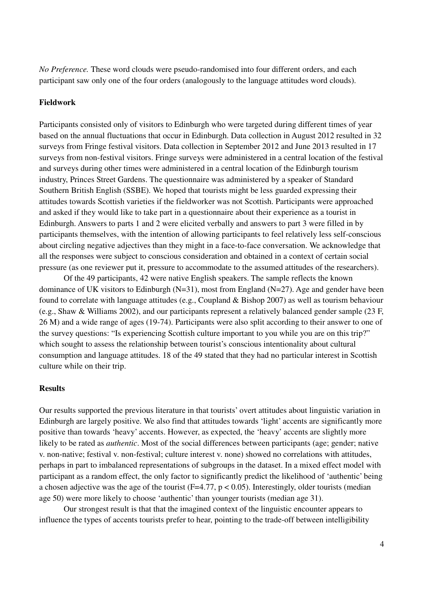*No Preference.* These word clouds were pseudo-randomised into four different orders, and each participant saw only one of the four orders (analogously to the language attitudes word clouds).

# **Fieldwork**

Participants consisted only of visitors to Edinburgh who were targeted during different times of year based on the annual fluctuations that occur in Edinburgh. Data collection in August 2012 resulted in 32 surveys from Fringe festival visitors. Data collection in September 2012 and June 2013 resulted in 17 surveys from non-festival visitors. Fringe surveys were administered in a central location of the festival and surveys during other times were administered in a central location of the Edinburgh tourism industry, Princes Street Gardens. The questionnaire was administered by a speaker of Standard Southern British English (SSBE). We hoped that tourists might be less guarded expressing their attitudes towards Scottish varieties if the fieldworker was not Scottish. Participants were approached and asked if they would like to take part in a questionnaire about their experience as a tourist in Edinburgh. Answers to parts 1 and 2 were elicited verbally and answers to part 3 were filled in by participants themselves, with the intention of allowing participants to feel relatively less self-conscious about circling negative adjectives than they might in a face-to-face conversation. We acknowledge that all the responses were subject to conscious consideration and obtained in a context of certain social pressure (as one reviewer put it, pressure to accommodate to the assumed attitudes of the researchers).

Of the 49 participants, 42 were native English speakers. The sample reflects the known dominance of UK visitors to Edinburgh (N=31), most from England (N=27). Age and gender have been found to correlate with language attitudes (e.g., Coupland & Bishop 2007) as well as tourism behaviour (e.g., Shaw & Williams 2002), and our participants represent a relatively balanced gender sample (23 F, 26 M) and a wide range of ages (19-74). Participants were also split according to their answer to one of the survey questions: "Is experiencing Scottish culture important to you while you are on this trip?" which sought to assess the relationship between tourist's conscious intentionality about cultural consumption and language attitudes. 18 of the 49 stated that they had no particular interest in Scottish culture while on their trip.

## **Results**

Our results supported the previous literature in that tourists' overt attitudes about linguistic variation in Edinburgh are largely positive. We also find that attitudes towards 'light' accents are significantly more positive than towards 'heavy' accents. However, as expected, the 'heavy' accents are slightly more likely to be rated as *authentic*. Most of the social differences between participants (age; gender; native v. non-native; festival v. non-festival; culture interest v. none) showed no correlations with attitudes, perhaps in part to imbalanced representations of subgroups in the dataset. In a mixed effect model with participant as a random effect, the only factor to significantly predict the likelihood of 'authentic' being a chosen adjective was the age of the tourist ( $F=4.77$ ,  $p < 0.05$ ). Interestingly, older tourists (median age 50) were more likely to choose 'authentic' than younger tourists (median age 31).

Our strongest result is that that the imagined context of the linguistic encounter appears to influence the types of accents tourists prefer to hear, pointing to the trade-off between intelligibility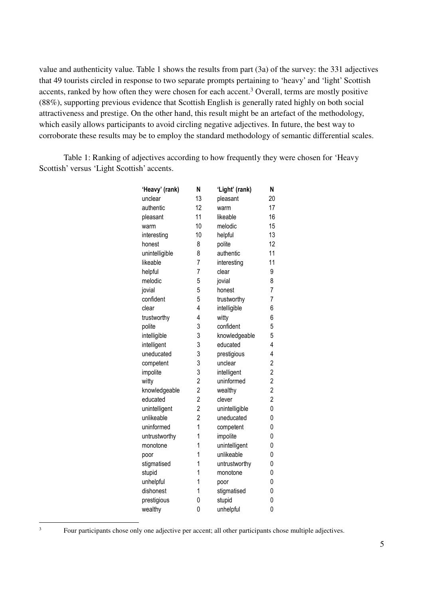value and authenticity value. Table 1 shows the results from part (3a) of the survey: the 331 adjectives that 49 tourists circled in response to two separate prompts pertaining to 'heavy' and 'light' Scottish accents, ranked by how often they were chosen for each accent.<sup>3</sup> Overall, terms are mostly positive (88%), supporting previous evidence that Scottish English is generally rated highly on both social attractiveness and prestige. On the other hand, this result might be an artefact of the methodology, which easily allows participants to avoid circling negative adjectives. In future, the best way to corroborate these results may be to employ the standard methodology of semantic differential scales.

Table 1: Ranking of adjectives according to how frequently they were chosen for 'Heavy Scottish' versus 'Light Scottish' accents.

| 'Heavy' (rank) | N              | 'Light' (rank) | N                       |
|----------------|----------------|----------------|-------------------------|
| unclear        | 13             | pleasant       | 20                      |
| authentic      | 12             | warm           | 17                      |
| pleasant       | 11             | likeable       | 16                      |
| warm           | 10             | melodic        | 15                      |
| interesting    | 10             | helpful        | 13                      |
| honest         | 8              | polite         | 12                      |
| unintelligible | 8              | authentic      | 11                      |
| likeable       | $\overline{7}$ | interesting    | 11                      |
| helpful        | $\overline{7}$ | clear          | 9                       |
| melodic        | 5              | jovial         | 8                       |
| jovial         | 5              | honest         | $\overline{7}$          |
| confident      | 5              | trustworthy    | $\overline{7}$          |
| clear          | $\overline{4}$ | intelligible   | 6                       |
| trustworthy    | 4              | witty          | 6                       |
| polite         | 3              | confident      | 5                       |
| intelligible   | 3              | knowledgeable  | 5                       |
| intelligent    | 3              | educated       | $\overline{4}$          |
| uneducated     | 3              | prestigious    | $\overline{4}$          |
| competent      | 3              | unclear        | $\overline{c}$          |
| impolite       | 3              | intelligent    | $\overline{2}$          |
| witty          | $\overline{c}$ | uninformed     | $\overline{\mathbf{c}}$ |
| knowledgeable  | $\overline{c}$ | wealthy        | $\overline{c}$          |
| educated       | $\overline{2}$ | clever         | $\overline{c}$          |
| unintelligent  | $\overline{2}$ | unintelligible | 0                       |
| unlikeable     | $\overline{2}$ | uneducated     | 0                       |
| uninformed     | $\overline{1}$ | competent      | 0                       |
| untrustworthy  | 1              | impolite       | 0                       |
| monotone       | 1              | unintelligent  | 0                       |
| poor           | 1              | unlikeable     | 0                       |
| stigmatised    | 1              | untrustworthy  | 0                       |
| stupid         | 1              | monotone       | 0                       |
| unhelpful      | 1              | poor           | 0                       |
| dishonest      | 1              | stigmatised    | 0                       |
| prestigious    | 0              | stupid         | 0                       |
| wealthy        | 0              | unhelpful      | 0                       |

Four participants chose only one adjective per accent; all other participants chose multiple adjectives.

 $\frac{1}{3}$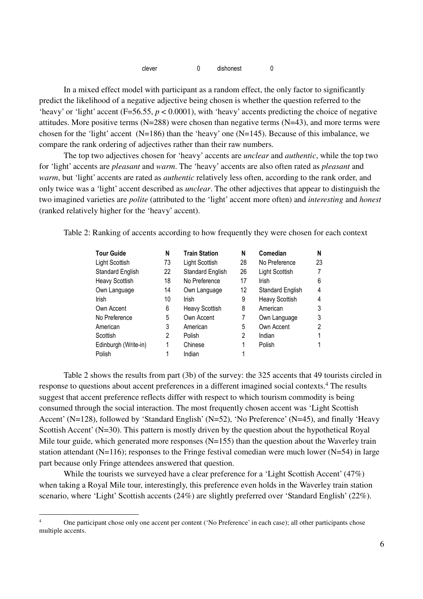| clever | dishonest |  |
|--------|-----------|--|
|--------|-----------|--|

In a mixed effect model with participant as a random effect, the only factor to significantly predict the likelihood of a negative adjective being chosen is whether the question referred to the 'heavy' or 'light' accent (F=56.55, *p* < 0.0001), with 'heavy' accents predicting the choice of negative attitudes. More positive terms  $(N=288)$  were chosen than negative terms  $(N=43)$ , and more terms were chosen for the 'light' accent  $(N=186)$  than the 'heavy' one  $(N=145)$ . Because of this imbalance, we compare the rank ordering of adjectives rather than their raw numbers.

The top two adjectives chosen for 'heavy' accents are *unclear* and *authentic*, while the top two for 'light' accents are *pleasant* and *warm*. The 'heavy' accents are also often rated as *pleasant* and *warm*, but 'light' accents are rated as *authentic* relatively less often, according to the rank order, and only twice was a 'light' accent described as *unclear*. The other adjectives that appear to distinguish the two imagined varieties are *polite* (attributed to the 'light' accent more often) and *interesting* and *honest*  (ranked relatively higher for the 'heavy' accent).

Table 2: Ranking of accents according to how frequently they were chosen for each context

| <b>Tour Guide</b>       | N  | <b>Train Station</b>  | N  | Comedian              | N  |
|-------------------------|----|-----------------------|----|-----------------------|----|
| Light Scottish          | 73 | Light Scottish        | 28 | No Preference         | 23 |
| <b>Standard English</b> | 22 | Standard English      | 26 | Light Scottish        | 7  |
| Heavy Scottish          | 18 | No Preference         | 17 | Irish                 | 6  |
| Own Language            | 14 | Own Language          | 12 | Standard English      | 4  |
| Irish                   | 10 | Irish                 | 9  | <b>Heavy Scottish</b> | 4  |
| Own Accent              | 6  | <b>Heavy Scottish</b> | 8  | American              | 3  |
| No Preference           | 5  | Own Accent            |    | Own Language          | 3  |
| American                | 3  | American              | 5  | Own Accent            | 2  |
| Scottish                | 2  | Polish                | 2  | Indian                | 1  |
| Edinburgh (Write-in)    | 1  | Chinese               |    | Polish                |    |
| Polish                  |    | Indian                |    |                       |    |

Table 2 shows the results from part (3b) of the survey: the 325 accents that 49 tourists circled in response to questions about accent preferences in a different imagined social contexts.<sup>4</sup> The results suggest that accent preference reflects differ with respect to which tourism commodity is being consumed through the social interaction. The most frequently chosen accent was 'Light Scottish Accent' (N=128), followed by 'Standard English' (N=52), 'No Preference' (N=45), and finally 'Heavy Scottish Accent' (N=30). This pattern is mostly driven by the question about the hypothetical Royal Mile tour guide, which generated more responses  $(N=155)$  than the question about the Waverley train station attendant (N=116); responses to the Fringe festival comedian were much lower (N=54) in large part because only Fringe attendees answered that question.

While the tourists we surveyed have a clear preference for a 'Light Scottish Accent' (47%) when taking a Royal Mile tour, interestingly, this preference even holds in the Waverley train station scenario, where 'Light' Scottish accents (24%) are slightly preferred over 'Standard English' (22%).

 $\frac{1}{4}$  One participant chose only one accent per content ('No Preference' in each case); all other participants chose multiple accents.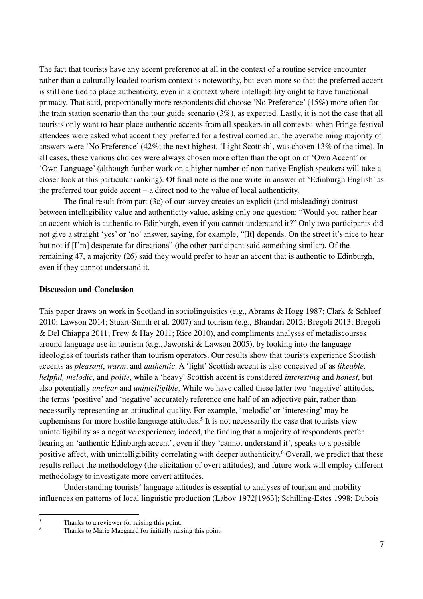The fact that tourists have any accent preference at all in the context of a routine service encounter rather than a culturally loaded tourism context is noteworthy, but even more so that the preferred accent is still one tied to place authenticity, even in a context where intelligibility ought to have functional primacy. That said, proportionally more respondents did choose 'No Preference' (15%) more often for the train station scenario than the tour guide scenario (3%), as expected. Lastly, it is not the case that all tourists only want to hear place-authentic accents from all speakers in all contexts; when Fringe festival attendees were asked what accent they preferred for a festival comedian, the overwhelming majority of answers were 'No Preference' (42%; the next highest, 'Light Scottish', was chosen 13% of the time). In all cases, these various choices were always chosen more often than the option of 'Own Accent' or 'Own Language' (although further work on a higher number of non-native English speakers will take a closer look at this particular ranking). Of final note is the one write-in answer of 'Edinburgh English' as the preferred tour guide accent – a direct nod to the value of local authenticity.

The final result from part (3c) of our survey creates an explicit (and misleading) contrast between intelligibility value and authenticity value, asking only one question: "Would you rather hear an accent which is authentic to Edinburgh, even if you cannot understand it?" Only two participants did not give a straight 'yes' or 'no' answer, saying, for example, "[It] depends. On the street it's nice to hear but not if [I'm] desperate for directions" (the other participant said something similar). Of the remaining 47, a majority (26) said they would prefer to hear an accent that is authentic to Edinburgh, even if they cannot understand it.

# **Discussion and Conclusion**

This paper draws on work in Scotland in sociolinguistics (e.g., Abrams & Hogg 1987; Clark & Schleef 2010; Lawson 2014; Stuart-Smith et al. 2007) and tourism (e.g., Bhandari 2012; Bregoli 2013; Bregoli & Del Chiappa 2011; Frew & Hay 2011; Rice 2010), and compliments analyses of metadiscourses around language use in tourism (e.g., Jaworski & Lawson 2005), by looking into the language ideologies of tourists rather than tourism operators. Our results show that tourists experience Scottish accents as *pleasant*, *warm*, and *authentic*. A 'light' Scottish accent is also conceived of as *likeable, helpful, melodic*, and *polite*, while a 'heavy' Scottish accent is considered *interesting* and *honest*, but also potentially *unclear* and *unintelligible*. While we have called these latter two 'negative' attitudes, the terms 'positive' and 'negative' accurately reference one half of an adjective pair, rather than necessarily representing an attitudinal quality. For example, 'melodic' or 'interesting' may be euphemisms for more hostile language attitudes.<sup>5</sup> It is not necessarily the case that tourists view unintelligibility as a negative experience; indeed, the finding that a majority of respondents prefer hearing an 'authentic Edinburgh accent', even if they 'cannot understand it', speaks to a possible positive affect, with unintelligibility correlating with deeper authenticity.<sup>6</sup> Overall, we predict that these results reflect the methodology (the elicitation of overt attitudes), and future work will employ different methodology to investigate more covert attitudes.

Understanding tourists' language attitudes is essential to analyses of tourism and mobility influences on patterns of local linguistic production (Labov 1972[1963]; Schilling-Estes 1998; Dubois

 $\frac{1}{5}$ Thanks to a reviewer for raising this point.

<sup>6</sup> Thanks to Marie Maegaard for initially raising this point.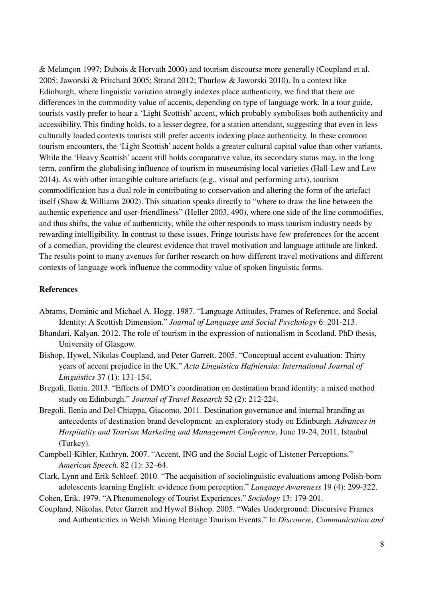& Melançon 1997; Dubois & Horvath 2000) and tourism discourse more generally (Coupland et al. 2005; Jaworski & Pritchard 2005; Strand 2012; Thurlow & Jaworski 2010). In a context like Edinburgh, where linguistic variation strongly indexes place authenticity, we find that there are differences in the commodity value of accents, depending on type of language work. In a tour guide, tourists vastly prefer to hear a 'Light Scottish' accent, which probably symbolises both authenticity and accessibility. This finding holds, to a lesser degree, for a station attendant, suggesting that even in less culturally loaded contexts tourists still prefer accents indexing place authenticity. In these common tourism encounters, the 'Light Scottish' accent holds a greater cultural capital value than other variants. While the 'Heavy Scottish' accent still holds comparative value, its secondary status may, in the long term, confirm the globalising influence of tourism in museumising local varieties (Hall-Lew and Lew 2014). As with other intangible culture artefacts (e.g., visual and performing arts), tourism commodification has a dual role in contributing to conservation and altering the form of the artefact itself (Shaw & Williams 2002). This situation speaks directly to "where to draw the line between the authentic experience and user-friendliness" (Heller 2003, 490), where one side of the line commodifies, and thus shifts, the value of authenticity, while the other responds to mass tourism industry needs by rewarding intelligibility. In contrast to these issues, Fringe tourists have few preferences for the accent of a comedian, providing the clearest evidence that travel motivation and language attitude are linked. The results point to many avenues for further research on how different travel motivations and different contexts of language work influence the commodity value of spoken linguistic forms.

# **References**

- Abrams, Dominic and Michael A. Hogg. 1987. "Language Attitudes, Frames of Reference, and Social Identity: A Scottish Dimension." *Journal of Language and Social Psychology* 6: 201-213.
- Bhandari, Kalyan. 2012. The role of tourism in the expression of nationalism in Scotland. PhD thesis, University of Glasgow.
- Bishop, Hywel, Nikolas Coupland, and Peter Garrett. 2005. "Conceptual accent evaluation: Thirty years of accent prejudice in the UK." *Acta Linguistica Hafniensia: International Journal of Linguistics* 37 (1): 131-154.
- Bregoli, Ilenia. 2013. "Effects of DMO's coordination on destination brand identity: a mixed method study on Edinburgh." *Journal of Travel Research* 52 (2): 212-224.
- Bregoli, Ilenia and Del Chiappa, Giacomo. 2011. Destination governance and internal branding as antecedents of destination brand development: an exploratory study on Edinburgh. *Advances in Hospitality and Tourism Marketing and Management Conference*, June 19-24, 2011, Istanbul (Turkey).
- Campbell-Kibler, Kathryn. 2007. "Accent, ING and the Social Logic of Listener Perceptions*.*" *American Speech.* 82 (1): 32–64.
- Clark, Lynn and Erik Schleef. 2010. "The acquisition of sociolinguistic evaluations among Polish-born adolescents learning English: evidence from perception." *Language Awareness* 19 (4): 299-322.
- Cohen, Erik. 1979. "A Phenomenology of Tourist Experiences." *Sociology* 13: 179-201. Coupland, Nikolas, Peter Garrett and Hywel Bishop. 2005. "Wales Underground: Discursive Frames
	- and Authenticities in Welsh Mining Heritage Tourism Events." In *Discourse, Communication and*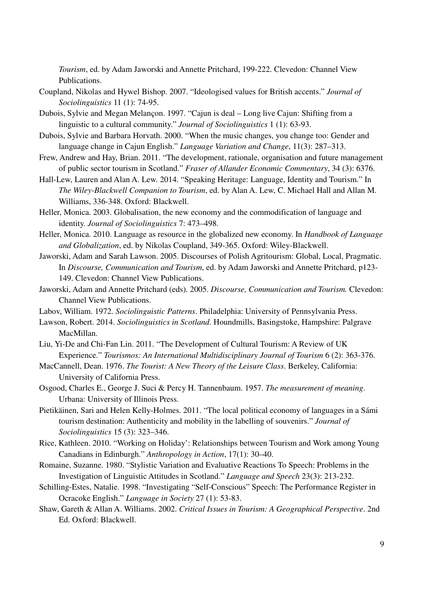*Tourism*, ed. by Adam Jaworski and Annette Pritchard, 199-222. Clevedon: Channel View Publications.

- Coupland, Nikolas and Hywel Bishop. 2007. "Ideologised values for British accents." *Journal of Sociolinguistics* 11 (1): 74-95.
- Dubois, Sylvie and Megan Melançon. 1997. "Cajun is deal Long live Cajun: Shifting from a linguistic to a cultural community." *Journal of Sociolinguistics* 1 (1): 63-93.
- Dubois, Sylvie and Barbara Horvath. 2000. "When the music changes, you change too: Gender and language change in Cajun English." *Language Variation and Change*, 11(3): 287–313.
- Frew, Andrew and Hay, Brian. 2011. "The development, rationale, organisation and future management of public sector tourism in Scotland." *Fraser of Allander Economic Commentary*, 34 (3): 6376.
- Hall-Lew, Lauren and Alan A. Lew. 2014. "Speaking Heritage: Language, Identity and Tourism." In *The Wiley-Blackwell Companion to Tourism*, ed. by Alan A. Lew, C. Michael Hall and Allan M. Williams, 336-348. Oxford: Blackwell.
- Heller, Monica. 2003. Globalisation, the new economy and the commodification of language and identity. *Journal of Sociolinguistics* 7: 473–498.
- Heller, Monica. 2010. Language as resource in the globalized new economy. In *Handbook of Language and Globalization*, ed. by Nikolas Coupland, 349-365. Oxford: Wiley-Blackwell.
- Jaworski, Adam and Sarah Lawson. 2005. Discourses of Polish Agritourism: Global, Local, Pragmatic. In *Discourse, Communication and Tourism*, ed. by Adam Jaworski and Annette Pritchard, p123- 149. Clevedon: Channel View Publications.
- Jaworski, Adam and Annette Pritchard (eds). 2005. *Discourse, Communication and Tourism.* Clevedon: Channel View Publications.
- Labov, William. 1972. *Sociolinguistic Patterns*. Philadelphia: University of Pennsylvania Press.
- Lawson, Robert. 2014. *Sociolinguistics in Scotland*. Houndmills, Basingstoke, Hampshire: Palgrave MacMillan.
- Liu, Yi-De and Chi-Fan Lin. 2011. "The Development of Cultural Tourism: A Review of UK Experience." *Tourismos: An International Multidisciplinary Journal of Tourism* 6 (2): 363-376.
- MacCannell, Dean. 1976. *The Tourist: A New Theory of the Leisure Class*. Berkeley, California: University of California Press.
- Osgood, Charles E., George J. Suci & Percy H. Tannenbaum. 1957. *The measurement of meaning*. Urbana: University of Illinois Press.
- Pietikäinen, Sari and Helen Kelly-Holmes. 2011. "The local political economy of languages in a Sámi tourism destination: Authenticity and mobility in the labelling of souvenirs." *Journal of Sociolinguistics* 15 (3): 323–346.
- Rice, Kathleen. 2010. "Working on Holiday': Relationships between Tourism and Work among Young Canadians in Edinburgh." *Anthropology in Action*, 17(1): 30–40.
- Romaine, Suzanne. 1980. "Stylistic Variation and Evaluative Reactions To Speech: Problems in the Investigation of Linguistic Attitudes in Scotland." *Language and Speech* 23(3): 213-232.
- Schilling-Estes, Natalie. 1998. "Investigating "Self-Conscious" Speech: The Performance Register in Ocracoke English." *Language in Society* 27 (1): 53-83.
- Shaw, Gareth & Allan A. Williams. 2002. *Critical Issues in Tourism: A Geographical Perspective*. 2nd Ed. Oxford: Blackwell.